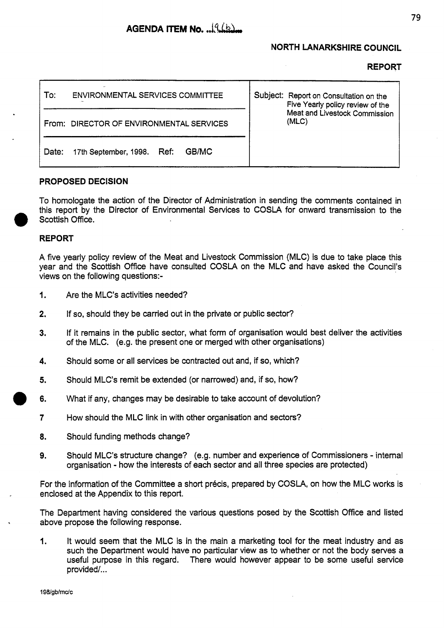## **NORTH LANARKSHIRE COUNCIL**

### **REPORT**

| ENVIRONMENTAL SERVICES COMMITTEE<br>To:         | Subject: Report on Consultation on the<br>Five Yearly policy review of the |
|-------------------------------------------------|----------------------------------------------------------------------------|
| From: DIRECTOR OF ENVIRONMENTAL SERVICES        | Meat and Livestock Commission<br>(MLC)                                     |
| GB/MC<br>Ref:<br>17th September, 1998.<br>Date: |                                                                            |

#### **PROPOSED DECISION**

To homologate the action of the Director of Administration in sending the comments contained in this report by the Director of Environmental Services to COSLA for onward transmission to the Scottish Office.

#### **REPORT**

**A** five yearly policy review of the Meat and Livestock Commission (MLC) is due to take place this year and the Scottish Office have consulted COSLA on the MLC and have asked the Council's views on the following questions:-

- I. Are the MLC's activities needed?
- **2.** If so, should they be carried out in the private or public sector?
- **3.** If it remains in the public sector, what form of organisation would best deliver the activities of the MLC. (e.g. the present one or merged with other organisations)
- **4.** Should some or all services be contracted out and, if so, which?
- **5.** Should MLC's remit be extended (or narrowed) and, if so, how?
- **6.** What if any, changes may be desirable to take account of devolution?
- **7** How should the MLC link in with other organisation and sectors?
- **8.** Should funding methods change?
- **9.** Should MLC's structure change? (e.g. number and experience of Commissioners internal organisation - how the interests of each sector and all three species are protected)

For the information of the Committee a short précis, prepared by COSLA, on how the MLC works is enclosed at the Appendix to this report.

The Department having considered the various questions posed by the Scottish Office and listed above propose the following response.

**1.** It would seem that the MLC is in the main a marketing tool for the meat industry and as such the Department would have no particular view as to whether or not the body serves a useful purpose in this regard. There would however appear to be some useful service provided/...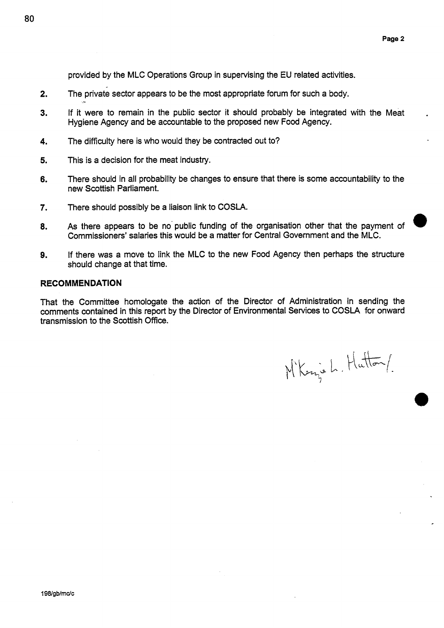provided by the MLC Operations Group in supervising the **EU** related activities.

- **2.**  The private sector appears to be the most appropriate forum for such a body. -
- **3.**  If it were to remain in the public sector it should probably be integrated with the Meat Hygiene Agency and be accountable to the proposed new Food Agency.
- **4.**  The diflculty here is who would they be contracted out to?
- **5.**  This is a decision for the meat industry.
- **6.**  There should in all probability be changes to ensure that there is some accountability to the new Scottish Parliament.
- *7.*  There should possibly be a liaison link to COSLA.
- **8.**  Commissioners' salaries this would be a matter for Central Government and the MLC. As there appears to be no public funding of the organisation other that the payment of
- **9.**  If there was a move to link the MLC to the new Food Agency then perhaps the structure should change at that time.

#### **RECOMMENDATION**

That the Committee homologate the action of the Director of Administration in sending the comments contained in this report by the Director of Environmental Services to COSLA for onward transmission to the Scottish **Office.** 

M'Kazis L. Hutton/